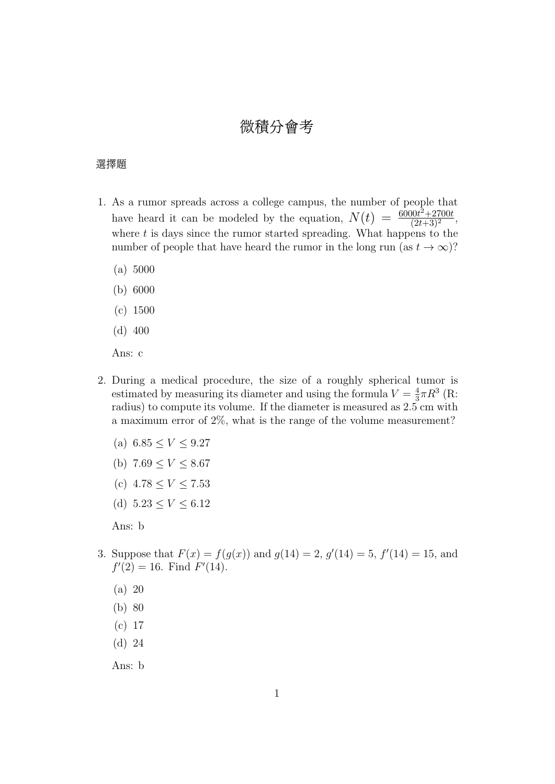## 微積分會考

## 選擇題

- 1. As a rumor spreads across a college campus, the number of people that have heard it can be modeled by the equation,  $N(t) = \frac{6000t^2 + 2700t}{(2t+3)^2}$  $\frac{30t+2100t}{(2t+3)^2},$ where  $t$  is days since the rumor started spreading. What happens to the number of people that have heard the rumor in the long run (as  $t \to \infty$ )?
	- (a) 5000
	- (b) 6000
	- (c) 1500
	- (d) 400

Ans: c

- 2. During a medical procedure, the size of a roughly spherical tumor is estimated by measuring its diameter and using the formula  $V = \frac{4}{3}$  $\frac{4}{3}\pi R^3$  (R: radius) to compute its volume. If the diameter is measured as 2.5 cm with a maximum error of 2%, what is the range of the volume measurement?
	- (a)  $6.85 \leq V \leq 9.27$
	- (b)  $7.69 \leq V \leq 8.67$
	- (c)  $4.78 \leq V \leq 7.53$
	- (d)  $5.23 \leq V \leq 6.12$

Ans: b

- 3. Suppose that  $F(x) = f(g(x))$  and  $g(14) = 2$ ,  $g'(14) = 5$ ,  $f'(14) = 15$ , and  $f'(2) = 16$ . Find  $F'(14)$ .
	- (a) 20
	- (b) 80
	- (c) 17
	- (d) 24

Ans: b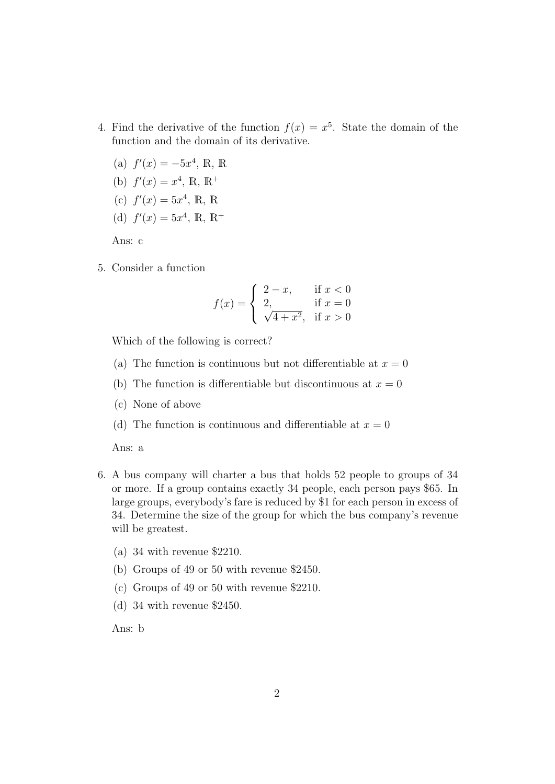- 4. Find the derivative of the function  $f(x) = x^5$ . State the domain of the function and the domain of its derivative.
	- (a)  $f'(x) = -5x^4$ , R, R
	- (b)  $f'(x) = x^4$ , R, R<sup>+</sup>
	- (c)  $f'(x) = 5x^4$ , R, R
	- (d)  $f'(x) = 5x^4$ , R, R<sup>+</sup>

Ans: c

5. Consider a function

$$
f(x) = \begin{cases} 2 - x, & \text{if } x < 0\\ 2, & \text{if } x = 0\\ \sqrt{4 + x^2}, & \text{if } x > 0 \end{cases}
$$

Which of the following is correct?

- (a) The function is continuous but not differentiable at  $x = 0$
- (b) The function is differentiable but discontinuous at  $x = 0$
- (c) None of above
- (d) The function is continuous and differentiable at  $x = 0$

Ans: a

- 6. A bus company will charter a bus that holds 52 people to groups of 34 or more. If a group contains exactly 34 people, each person pays \$65. In large groups, everybody's fare is reduced by \$1 for each person in excess of 34. Determine the size of the group for which the bus company's revenue will be greatest.
	- (a) 34 with revenue \$2210.
	- (b) Groups of 49 or 50 with revenue \$2450.
	- (c) Groups of 49 or 50 with revenue \$2210.
	- (d) 34 with revenue \$2450.

Ans: b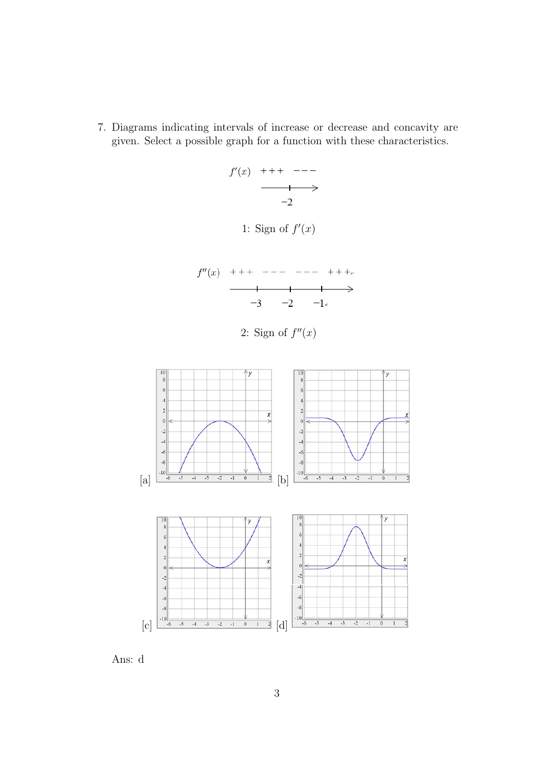7. Diagrams indicating intervals of increase or decrease and concavity are given. Select a possible graph for a function with these characteristics.

$$
\begin{array}{ccc}\nf'(x) & +++ & ---- \\
 & & \xrightarrow{+ & ---} & \xrightarrow{-2} \\
 & & -2 & & \xrightarrow{-2} & & \xrightarrow{-2} \\
\end{array}
$$





2: Sign of  $f''(x)$ 



Ans: d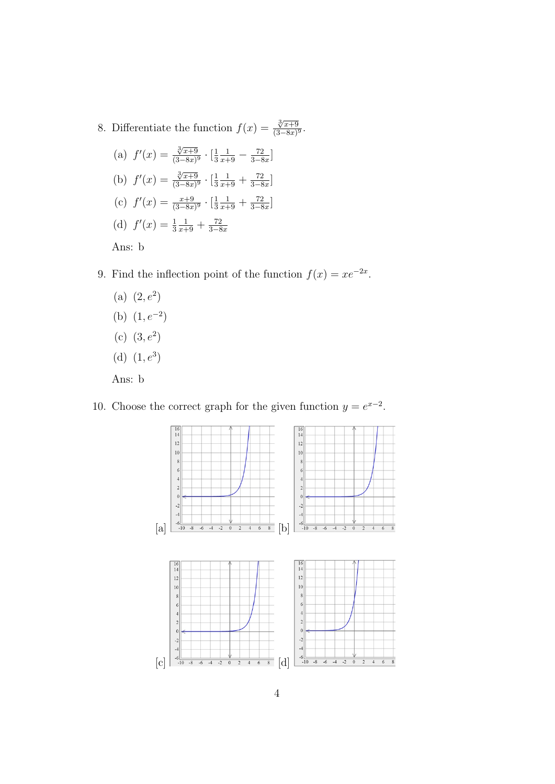- 8. Differentiate the function  $f(x) = \frac{\sqrt[3]{x+9}}{(\sqrt[3]{x+9})^2}$  $\frac{\sqrt{x+9}}{(3-8x)^9}$ .
	- (a)  $f'(x) = \frac{\sqrt[3]{x+9}}{(3-8x)}$  $\frac{\sqrt[3]{x+9}}{(3-8x)^9} \cdot \left[\frac{1}{3}\right]$ 3  $\frac{1}{x+9} - \frac{72}{3-8}$  $\frac{72}{3-8x}$ ] (b)  $f'(x) = \frac{\sqrt[3]{x+9}}{(3-8x)}$  $\frac{\sqrt[3]{x+9}}{(3-8x)^9} \cdot \left[\frac{1}{3}\right]$ 3  $\frac{1}{x+9} + \frac{72}{3-8}$  $\frac{72}{3-8x}$ ] (c)  $f'(x) = \frac{x+9}{(3-8x)^9} \cdot \left[\frac{1}{3}\right]$ 3  $\frac{1}{x+9} + \frac{72}{3-8}$  $\frac{72}{3-8x}$ (d)  $f'(x) = \frac{1}{3}$  $rac{1}{x+9} + \frac{72}{3-8}$ 3−8x

Ans: b

- 9. Find the inflection point of the function  $f(x) = xe^{-2x}$ .
	- (a)  $(2, e^2)$ (b)  $(1, e^{-2})$
	-
	- (c)  $(3, e^2)$
	- (d)  $(1, e^3)$

Ans: b

10. Choose the correct graph for the given function  $y = e^{x-2}$ .

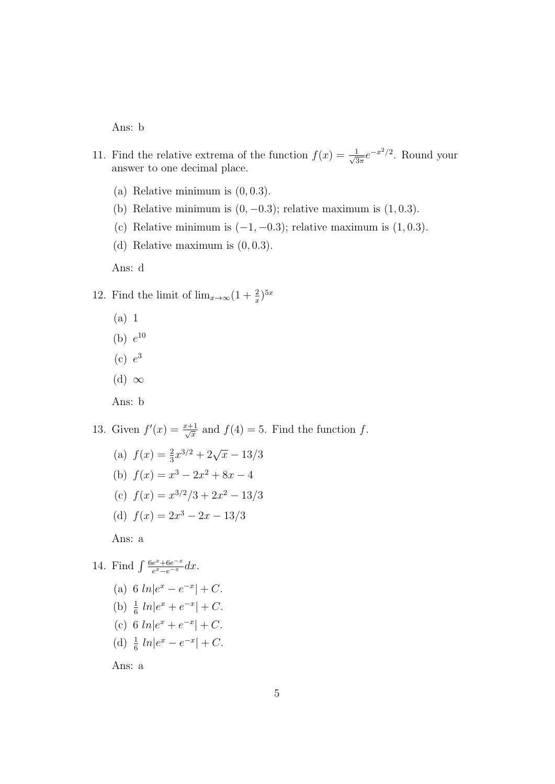Ans: b

- 11. Find the relative extrema of the function  $f(x) = \frac{1}{\sqrt{3}}$  $\frac{1}{3\pi}e^{-x^2/2}$ . Round your answer to one decimal place.
	- (a) Relative minimum is  $(0, 0.3)$ .
	- (b) Relative minimum is  $(0, -0.3)$ ; relative maximum is  $(1, 0.3)$ .
	- (c) Relative minimum is  $(-1, -0.3)$ ; relative maximum is  $(1, 0.3)$ .
	- (d) Relative maximum is  $(0, 0.3)$ .

Ans: d

- 12. Find the limit of  $\lim_{x\to\infty} (1+\frac{2}{x})^{5x}$ 
	- (a) 1
	- (b)  $e^{10}$
	- $(c) e<sup>3</sup>$
	- (d)  $\infty$
	- Ans: b
- 13. Given  $f'(x) = \frac{x+1}{\sqrt{x}}$  $\frac{1}{x}$  and  $f(4) = 5$ . Find the function f.
	- (a)  $f(x) = \frac{2}{3}x^{3/2} + 2\sqrt{x} 13/3$ (b)  $f(x) = x^3 - 2x^2 + 8x - 4$ (c)  $f(x) = x^{3/2}/3 + 2x^2 - 13/3$ (d)  $f(x) = 2x^3 - 2x - 13/3$ Ans: a
- 14. Find  $\int \frac{6e^x + 6e^{-x}}{e^x e^{-x}}$  $\frac{e^x+6e^{-x}}{e^x-e^{-x}}dx.$ 
	- (a) 6  $ln|e^x e^{-x}| + C$ . (b)  $\frac{1}{6} ln|e^x + e^{-x}| + C.$
	- (c) 6  $ln|e^x + e^{-x}| + C$ .
	- (d)  $\frac{1}{6} ln|e^x e^{-x}| + C.$

Ans: a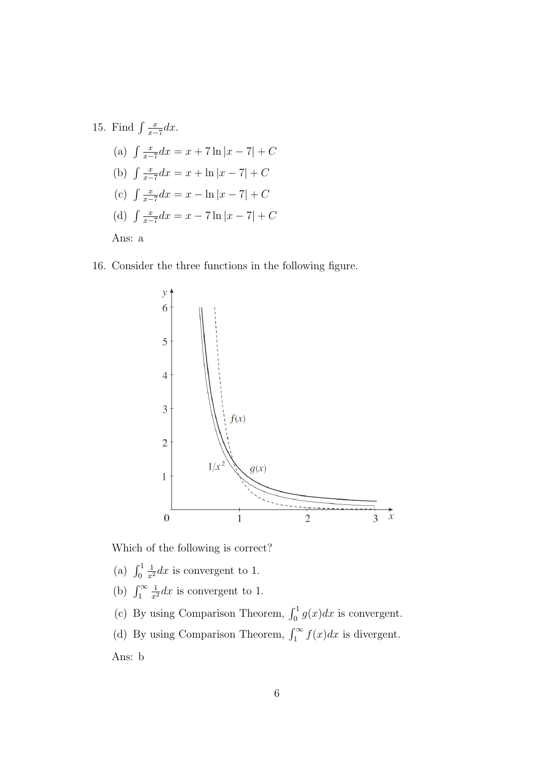15. Find 
$$
\int \frac{x}{x-7} dx
$$
.  
\n(a)  $\int \frac{x}{x-7} dx = x + 7 \ln|x-7| + C$   
\n(b)  $\int \frac{x}{x-7} dx = x + \ln|x-7| + C$   
\n(c)  $\int \frac{x}{x-7} dx = x - \ln|x-7| + C$   
\n(d)  $\int \frac{x}{x-7} dx = x - 7 \ln|x-7| + C$   
\nAns: a

16. Consider the three functions in the following figure.



Which of the following is correct?

- (a)  $\int_0^1$  $\frac{1}{x^2}dx$  is convergent to 1.
- (b)  $\int_1^\infty$  $\frac{1}{x^2}dx$  is convergent to 1.
- (c) By using Comparison Theorem,  $\int_0^1 g(x)dx$  is convergent.
- (d) By using Comparison Theorem,  $\int_1^\infty f(x)dx$  is divergent.

Ans: b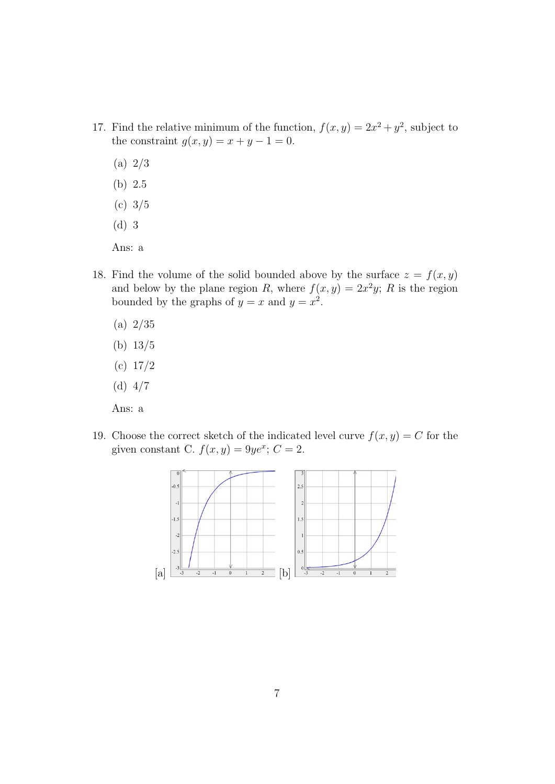- 17. Find the relative minimum of the function,  $f(x, y) = 2x^2 + y^2$ , subject to the constraint  $g(x, y) = x + y - 1 = 0$ .
	- (a) 2/3
	- (b) 2.5
	- (c) 3/5
	- (d) 3

Ans: a

- 18. Find the volume of the solid bounded above by the surface  $z = f(x, y)$ and below by the plane region R, where  $f(x, y) = 2x^2y$ ; R is the region bounded by the graphs of  $y = x$  and  $y = x^2$ .
	- (a) 2/35
	- (b) 13/5
	- (c) 17/2
	- (d) 4/7
	- Ans: a
- 19. Choose the correct sketch of the indicated level curve  $f(x, y) = C$  for the given constant C.  $f(x, y) = 9ye^x$ ;  $C = 2$ .

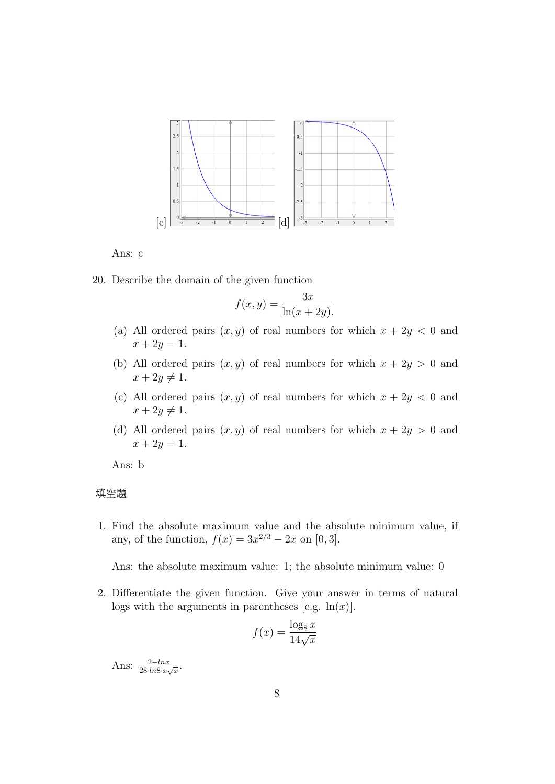

Ans: c

20. Describe the domain of the given function

$$
f(x,y) = \frac{3x}{\ln(x+2y)}.
$$

- (a) All ordered pairs  $(x, y)$  of real numbers for which  $x + 2y < 0$  and  $x + 2y = 1.$
- (b) All ordered pairs  $(x, y)$  of real numbers for which  $x + 2y > 0$  and  $x + 2y \neq 1$ .
- (c) All ordered pairs  $(x, y)$  of real numbers for which  $x + 2y < 0$  and  $x + 2y \neq 1$ .
- (d) All ordered pairs  $(x, y)$  of real numbers for which  $x + 2y > 0$  and  $x + 2y = 1.$

Ans: b

## 填空題

1. Find the absolute maximum value and the absolute minimum value, if any, of the function,  $f(x) = 3x^{2/3} - 2x$  on [0,3].

Ans: the absolute maximum value: 1; the absolute minimum value: 0

2. Differentiate the given function. Give your answer in terms of natural logs with the arguments in parentheses [e.g.  $ln(x)$ ].

$$
f(x) = \frac{\log_8 x}{14\sqrt{x}}
$$

Ans:  $\frac{2-\ln x}{28\cdot \ln 8\cdot x\sqrt{x}}$ .